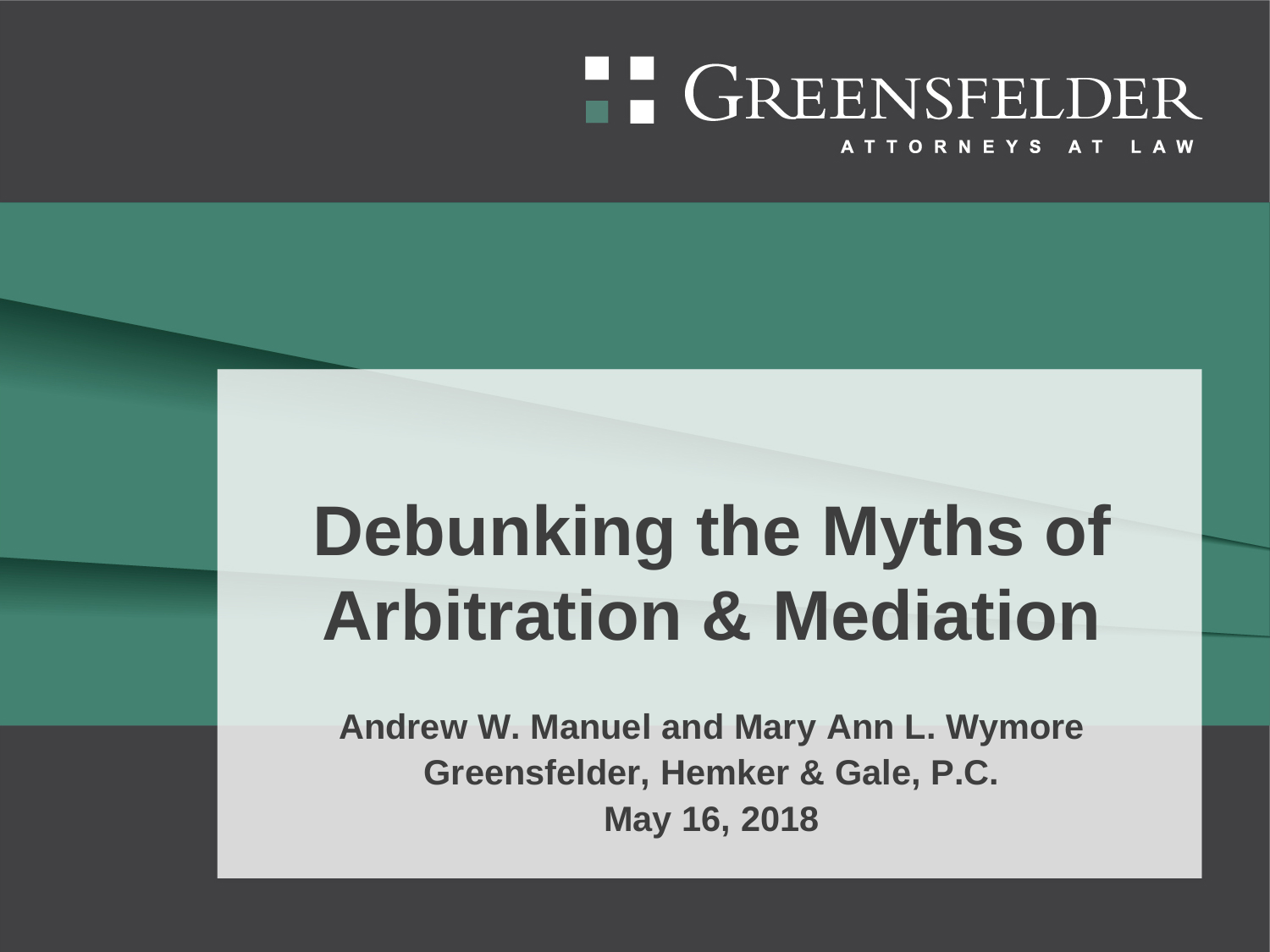# **FE GREENSFELDER**

ATTORNEYS AT LAW

## **Debunking the Myths of Arbitration & Mediation**

**Andrew W. Manuel and Mary Ann L. Wymore Greensfelder, Hemker & Gale, P.C. May 16, 2018**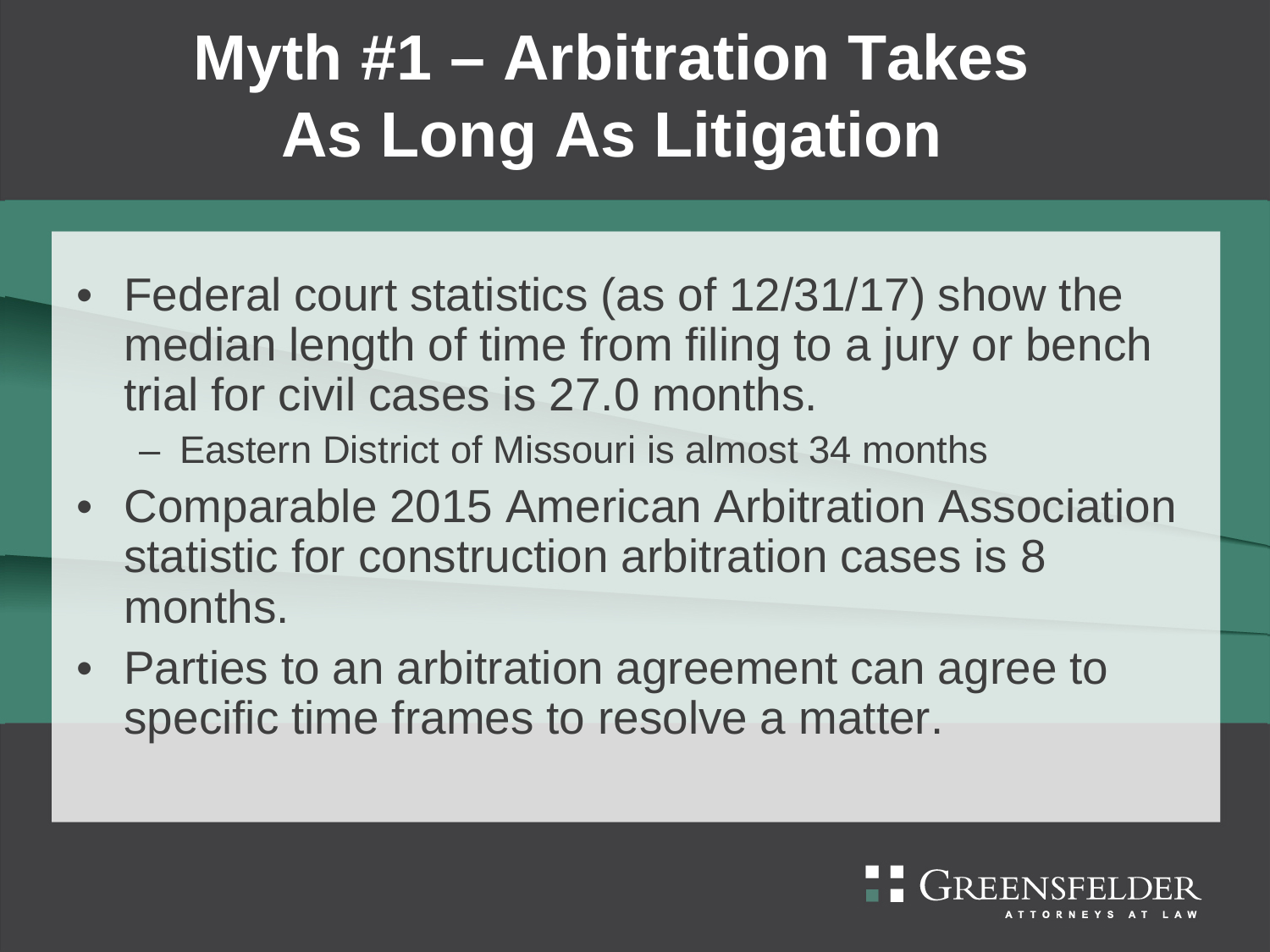### **Myth #1 – Arbitration Takes As Long As Litigation**

- Federal court statistics (as of 12/31/17) show the median length of time from filing to a jury or bench trial for civil cases is 27.0 months.
	- Eastern District of Missouri is almost 34 months
- Comparable 2015 American Arbitration Association statistic for construction arbitration cases is 8 months.
- Parties to an arbitration agreement can agree to specific time frames to resolve a matter.

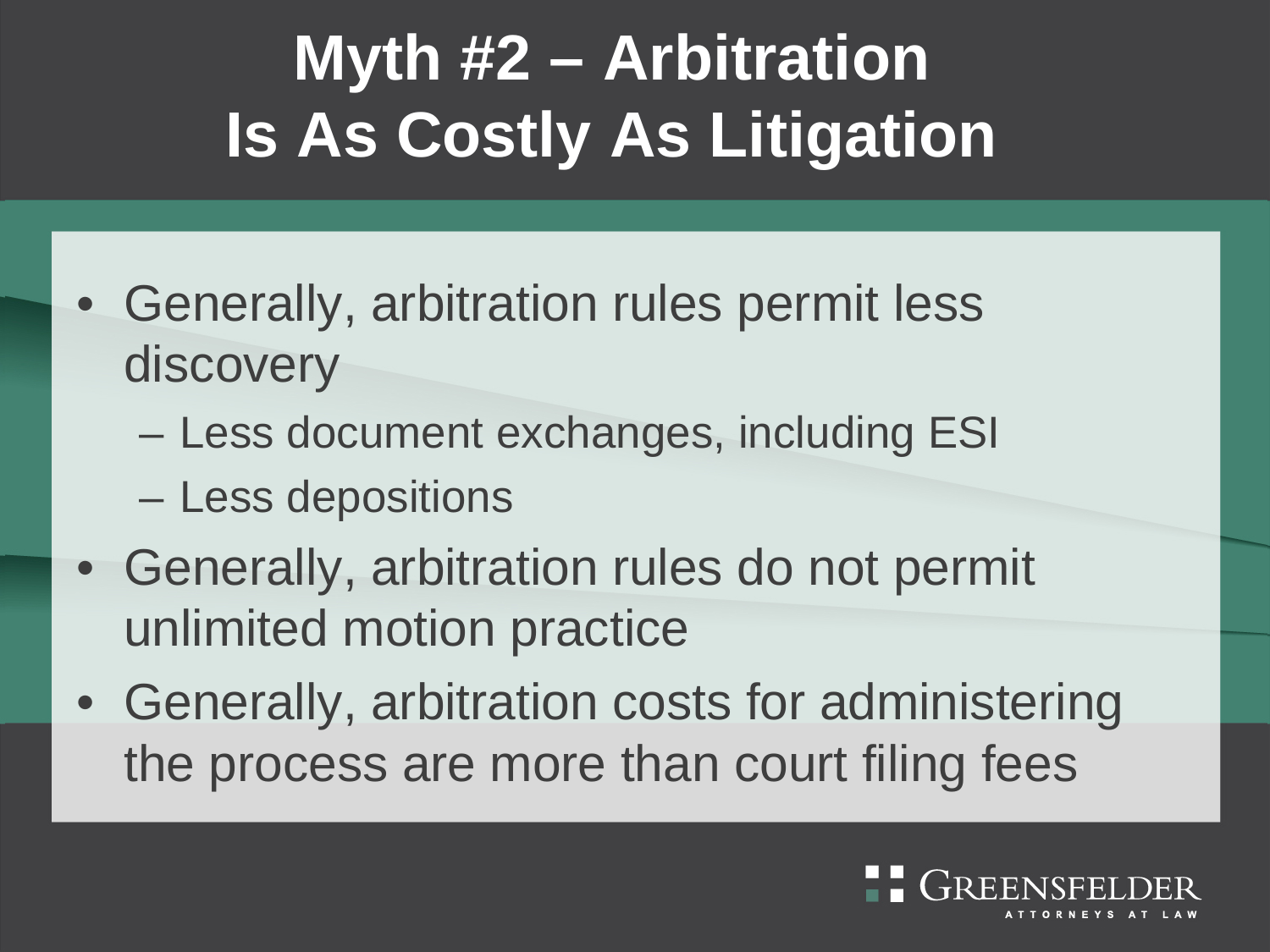### **Myth #2 – Arbitration Is As Costly As Litigation**

- Generally, arbitration rules permit less discovery
	- Less document exchanges, including ESI
	- Less depositions
- Generally, arbitration rules do not permit unlimited motion practice
- Generally, arbitration costs for administering the process are more than court filing fees

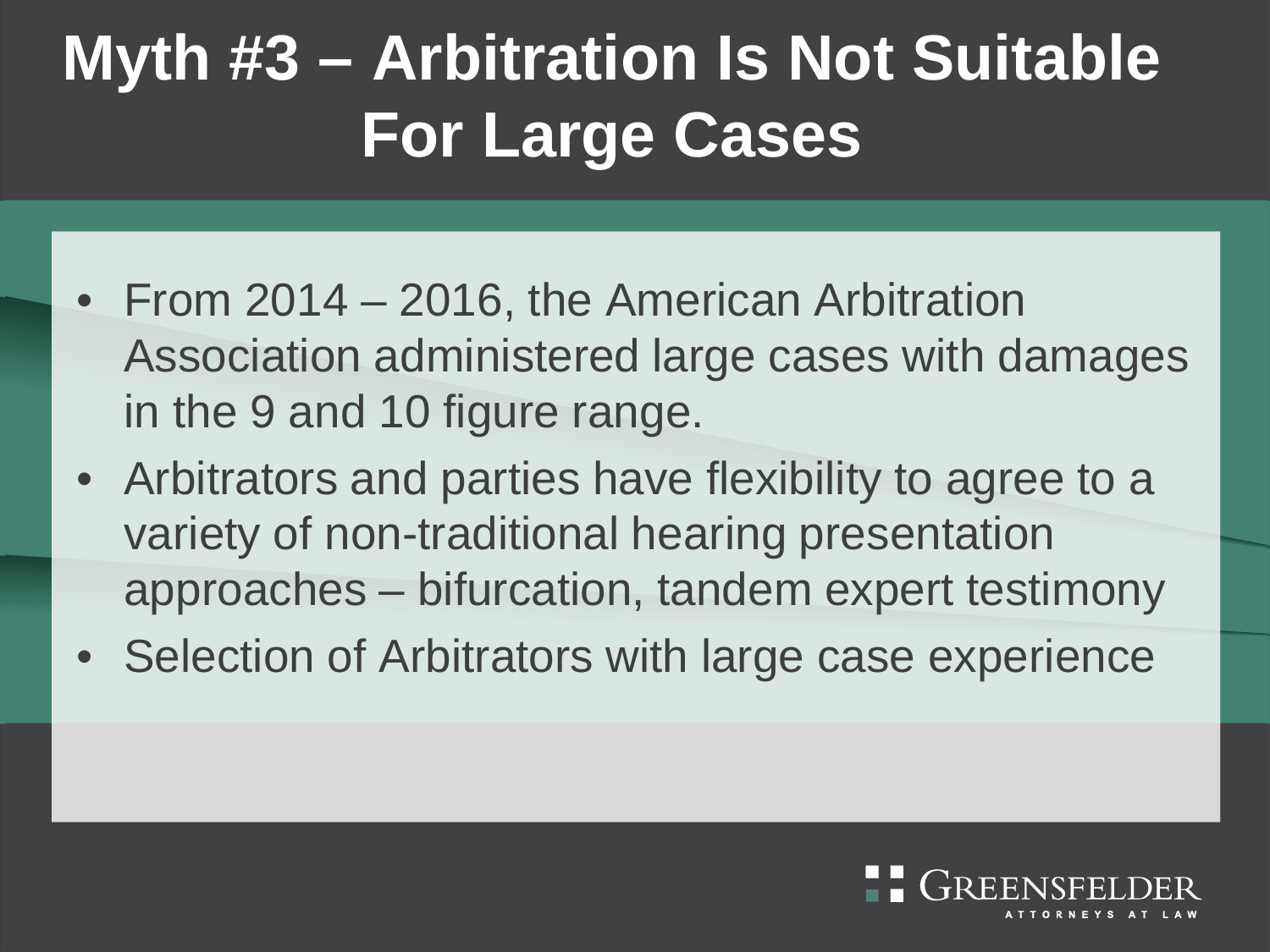#### **Myth #3 – Arbitration Is Not Suitable For Large Cases**

- From 2014 2016, the American Arbitration Association administered large cases with damages in the 9 and 10 figure range.
- Arbitrators and parties have flexibility to agree to a variety of non-traditional hearing presentation approaches – bifurcation, tandem expert testimony
- Selection of Arbitrators with large case experience

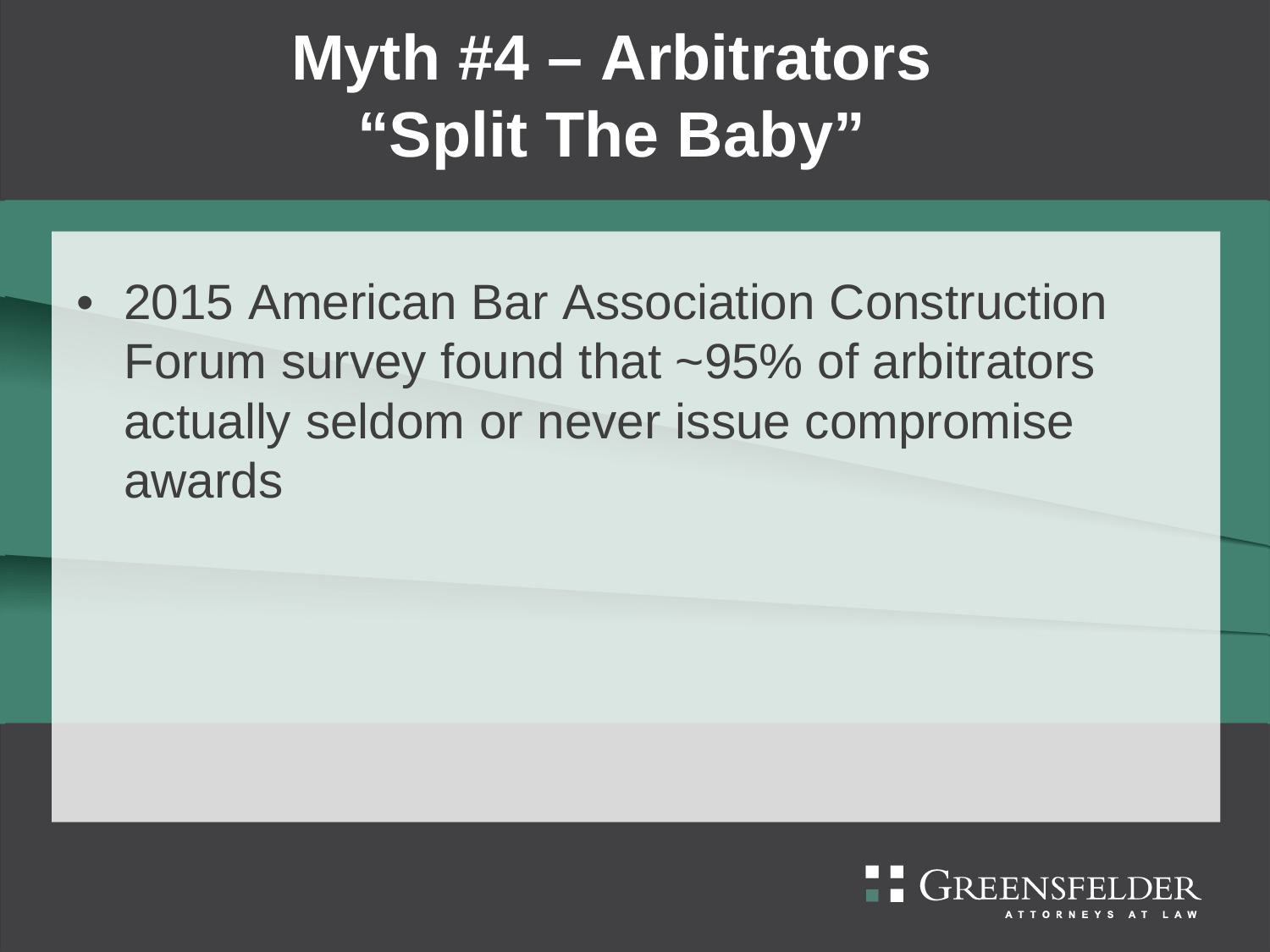#### **Myth #4 – Arbitrators "Split The Baby"**

• 2015 American Bar Association Construction Forum survey found that ~95% of arbitrators actually seldom or never issue compromise awards

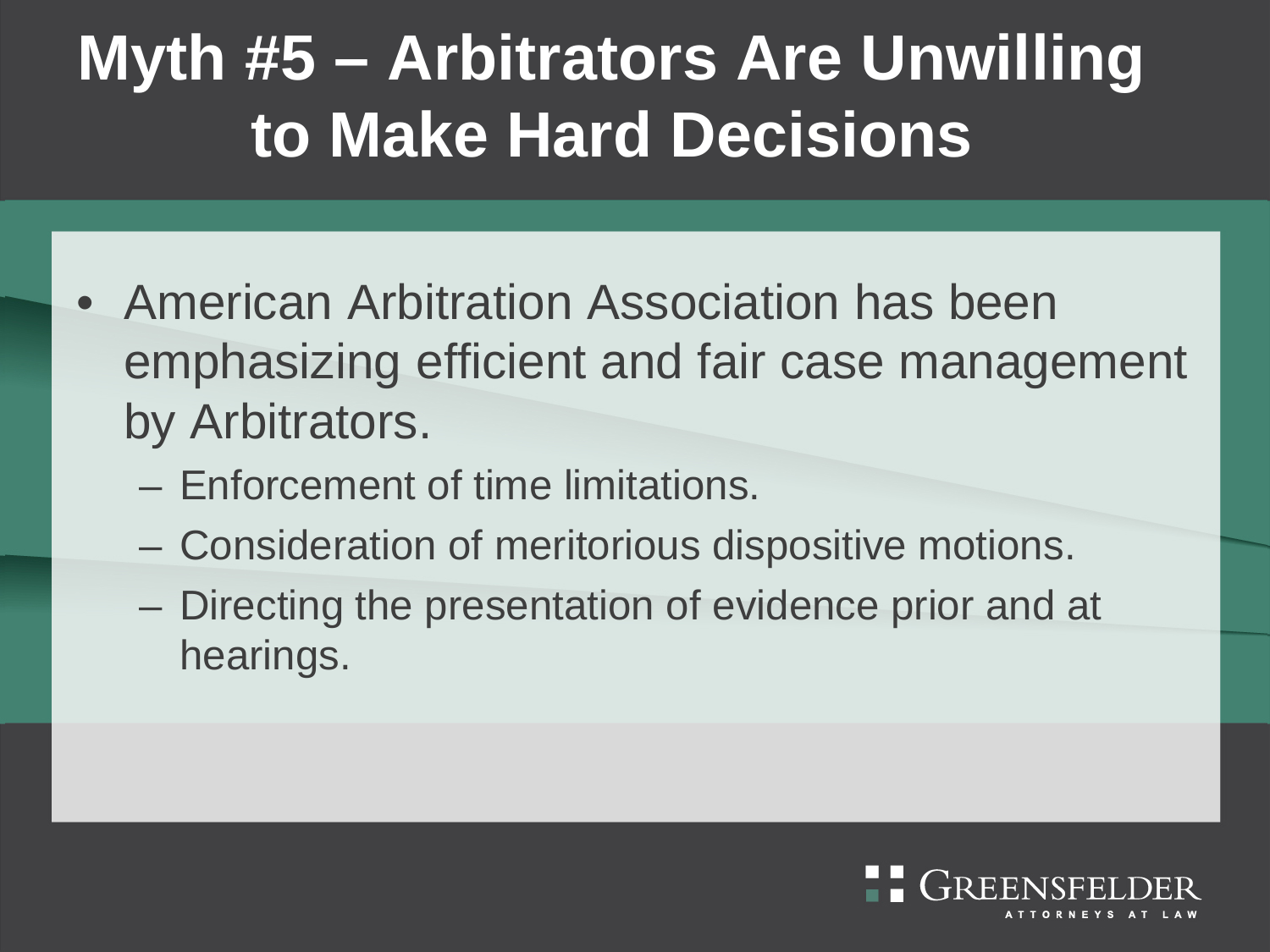#### **Myth #5 – Arbitrators Are Unwilling to Make Hard Decisions**

- American Arbitration Association has been emphasizing efficient and fair case management by Arbitrators.
	- Enforcement of time limitations.
	- Consideration of meritorious dispositive motions.
	- Directing the presentation of evidence prior and at hearings.

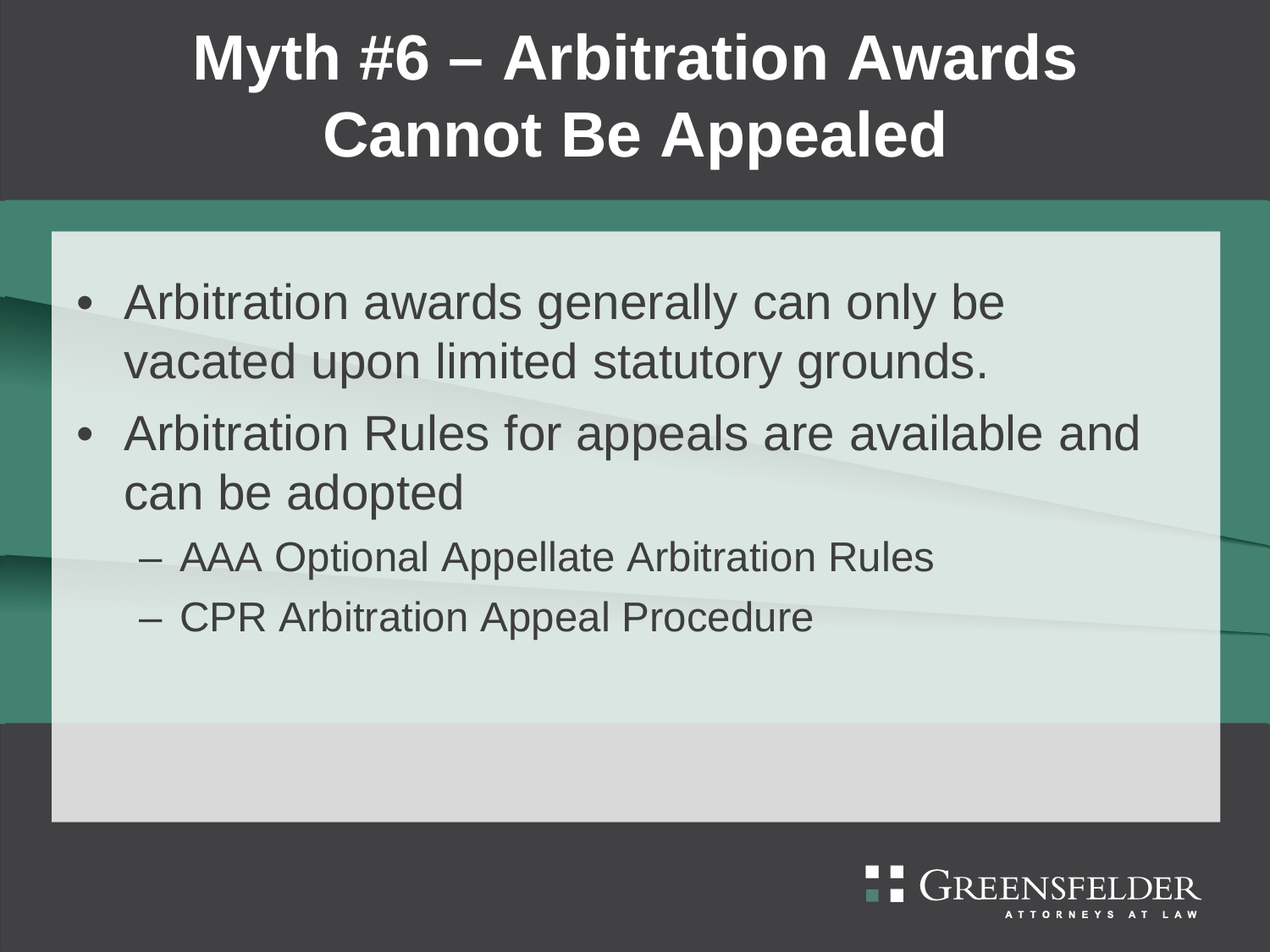#### **Myth #6 – Arbitration Awards Cannot Be Appealed**

- Arbitration awards generally can only be vacated upon limited statutory grounds.
- Arbitration Rules for appeals are available and can be adopted
	- AAA Optional Appellate Arbitration Rules
	- CPR Arbitration Appeal Procedure

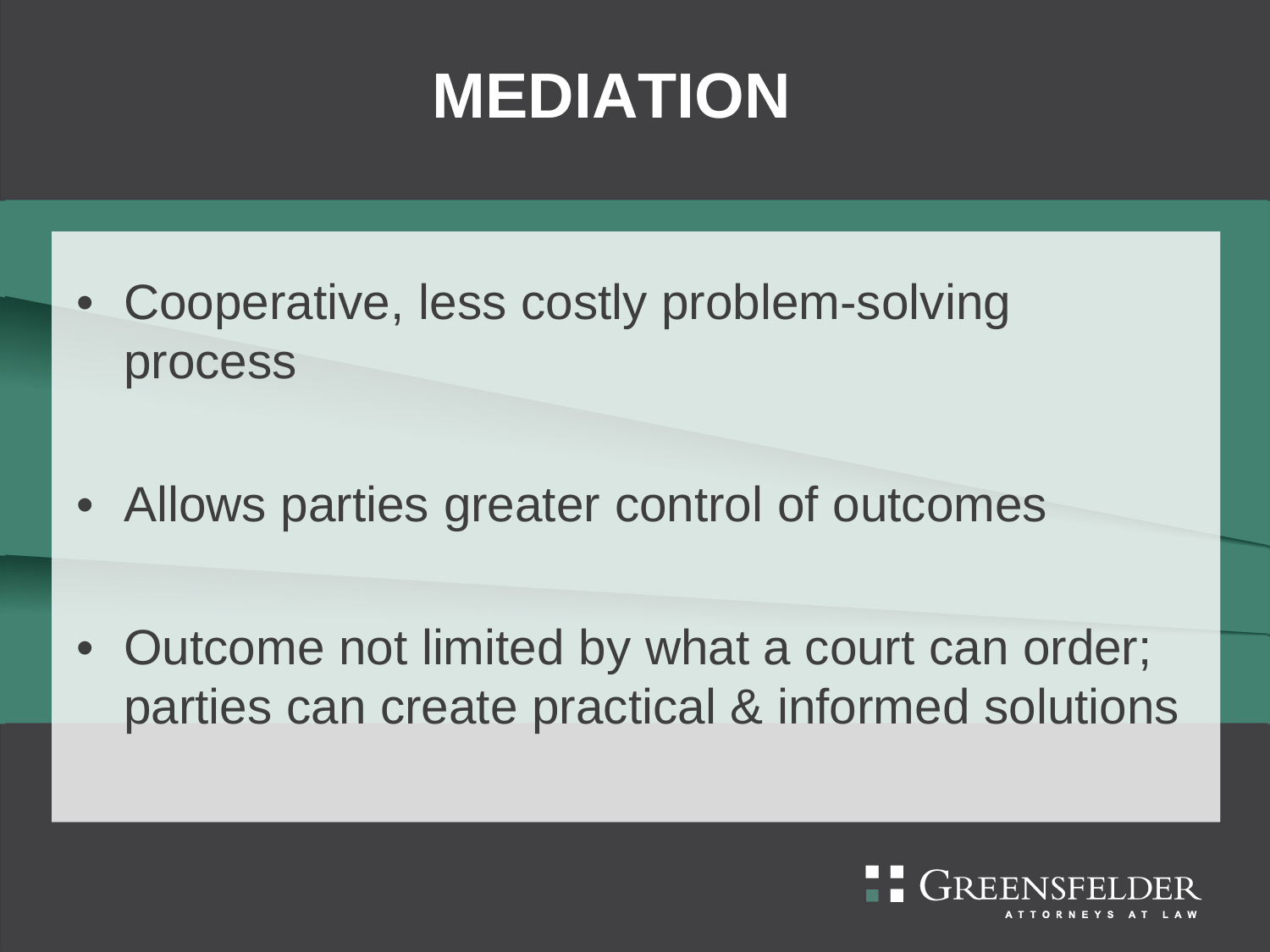#### **MEDIATION**

- Cooperative, less costly problem-solving process
- Allows parties greater control of outcomes
- Outcome not limited by what a court can order; parties can create practical & informed solutions

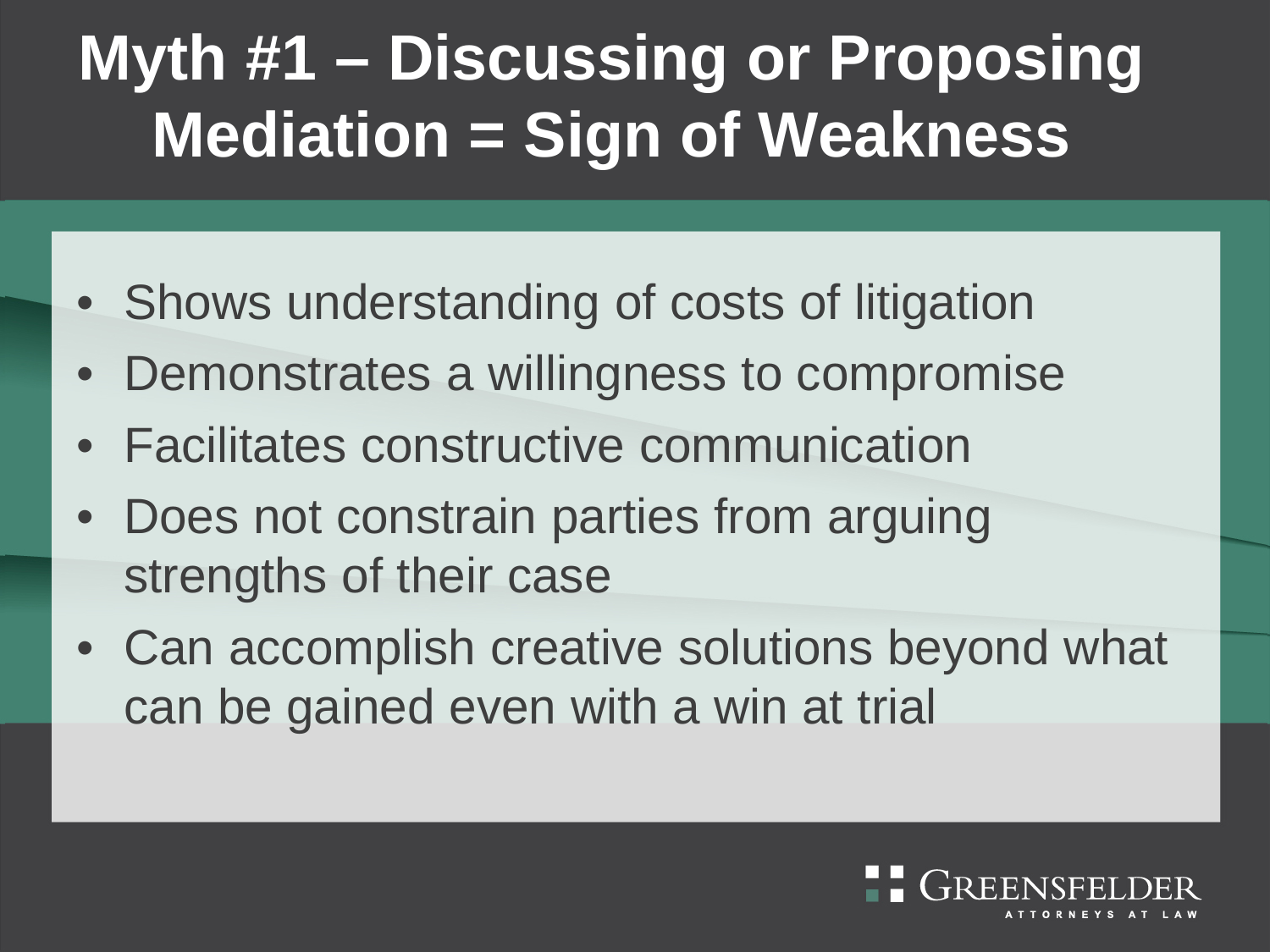#### **Myth #1 – Discussing or Proposing Mediation = Sign of Weakness**

- Shows understanding of costs of litigation
- Demonstrates a willingness to compromise
- Facilitates constructive communication
- Does not constrain parties from arguing strengths of their case
- Can accomplish creative solutions beyond what can be gained even with a win at trial

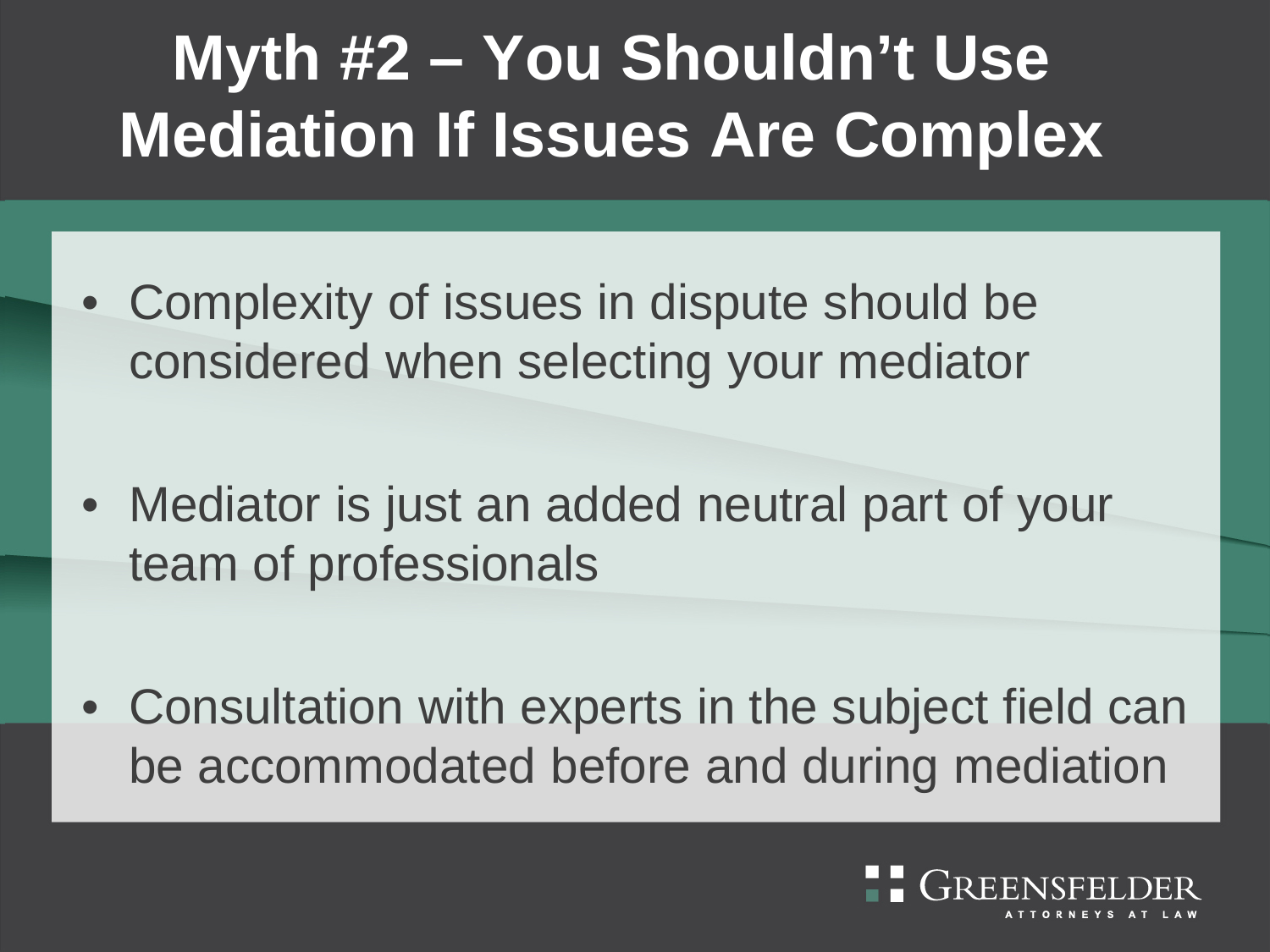#### **Myth #2 – You Shouldn't Use Mediation If Issues Are Complex**

- Complexity of issues in dispute should be considered when selecting your mediator
- Mediator is just an added neutral part of your team of professionals
- Consultation with experts in the subject field can be accommodated before and during mediation

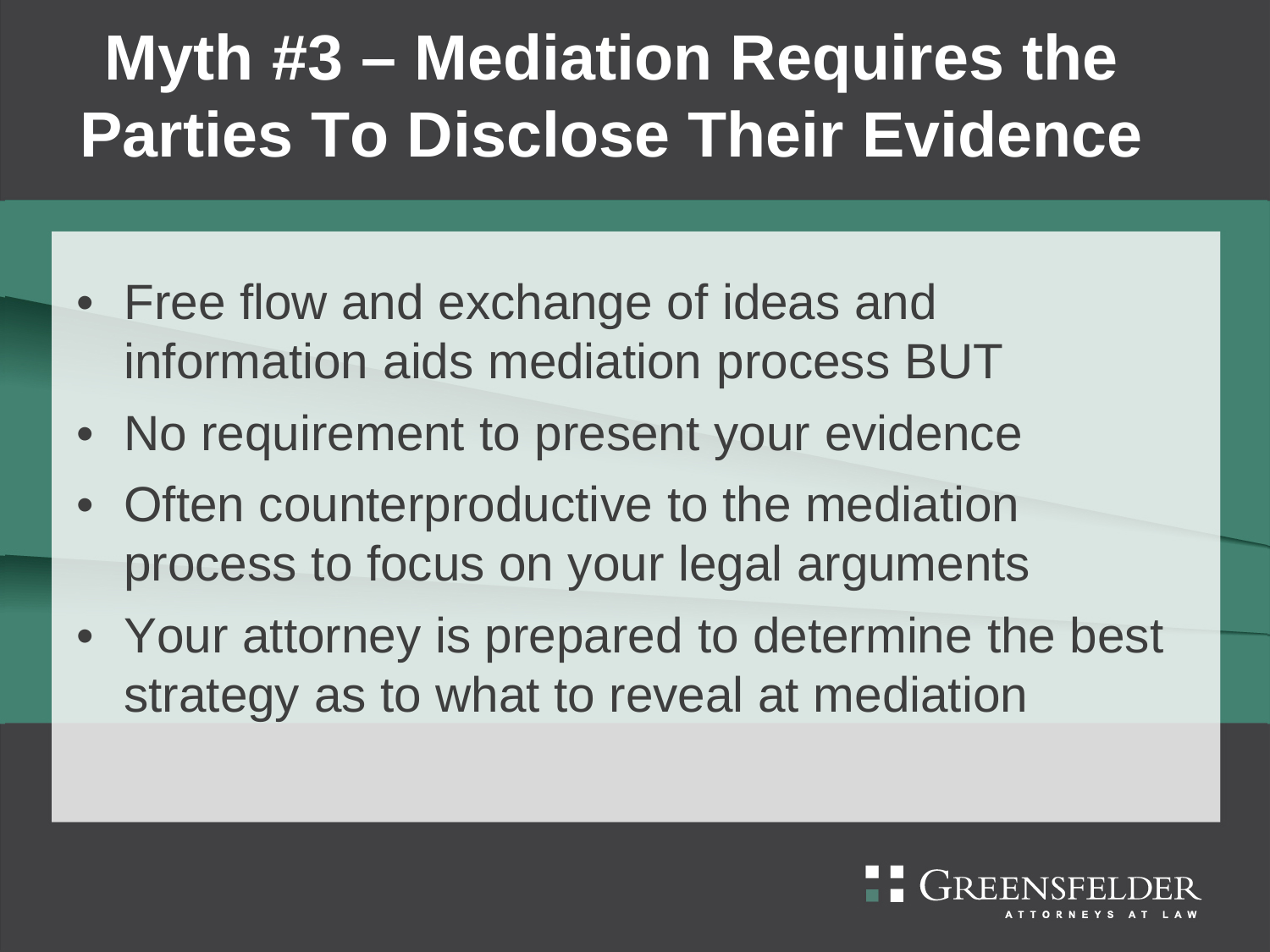### **Myth #3 – Mediation Requires the Parties To Disclose Their Evidence**

- Free flow and exchange of ideas and information aids mediation process BUT
- No requirement to present your evidence
- Often counterproductive to the mediation process to focus on your legal arguments
- Your attorney is prepared to determine the best strategy as to what to reveal at mediation

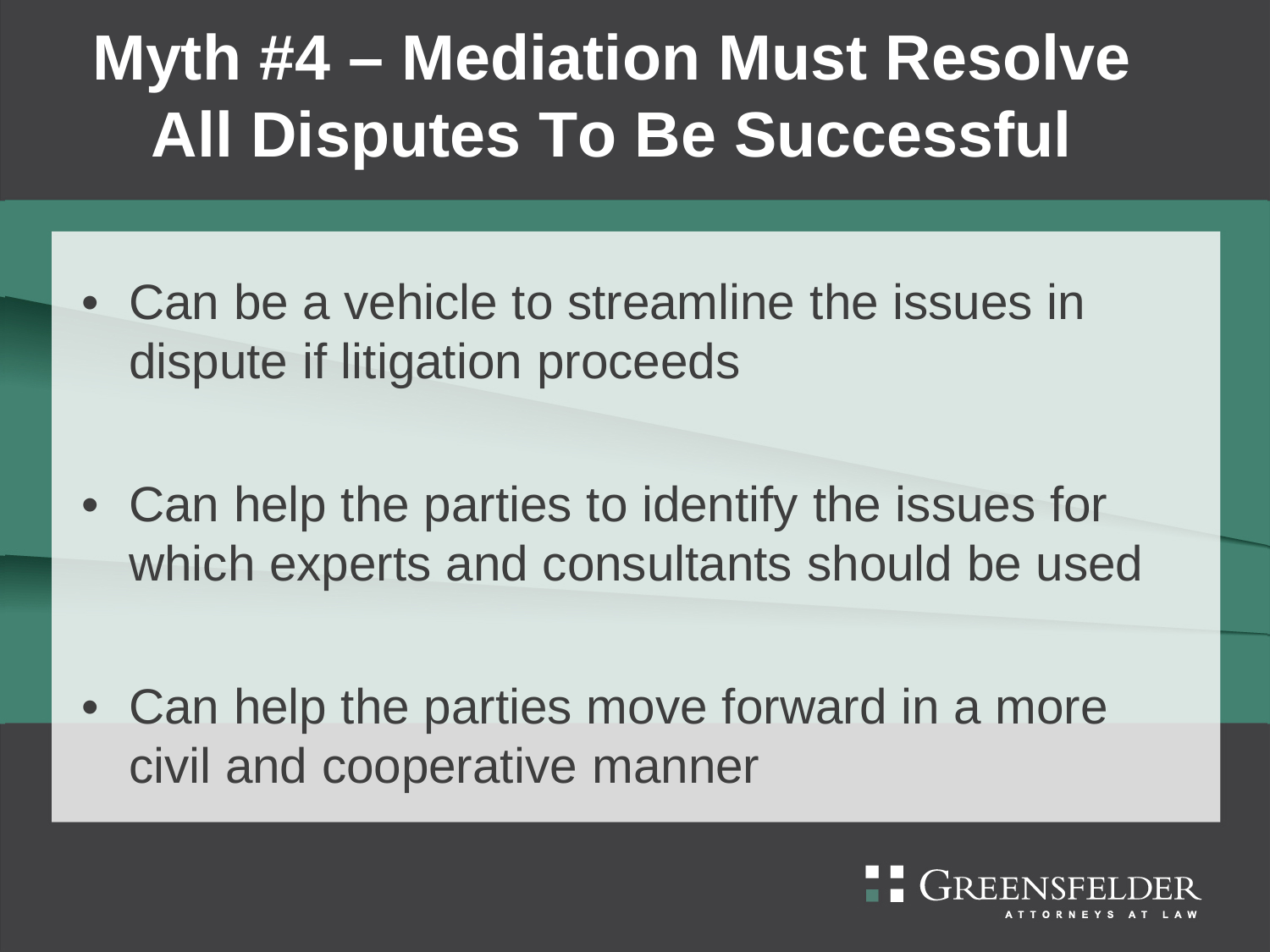#### **Myth #4 – Mediation Must Resolve All Disputes To Be Successful**

- Can be a vehicle to streamline the issues in dispute if litigation proceeds
- Can help the parties to identify the issues for which experts and consultants should be used
- Can help the parties move forward in a more civil and cooperative manner

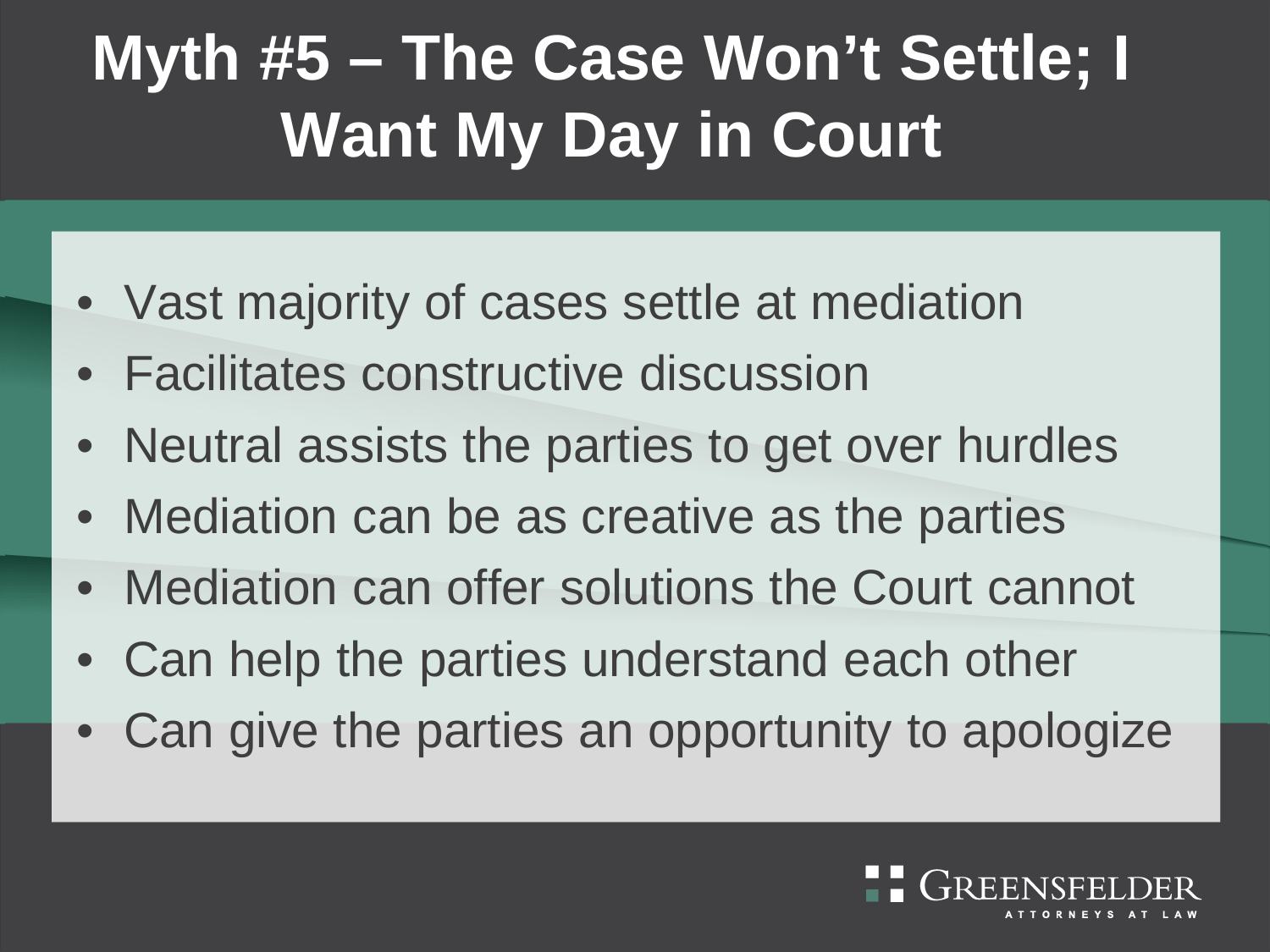#### **Myth #5 – The Case Won't Settle; I Want My Day in Court**

- Vast majority of cases settle at mediation
- Facilitates constructive discussion
- Neutral assists the parties to get over hurdles
- Mediation can be as creative as the parties
- Mediation can offer solutions the Court cannot
- Can help the parties understand each other
- Can give the parties an opportunity to apologize

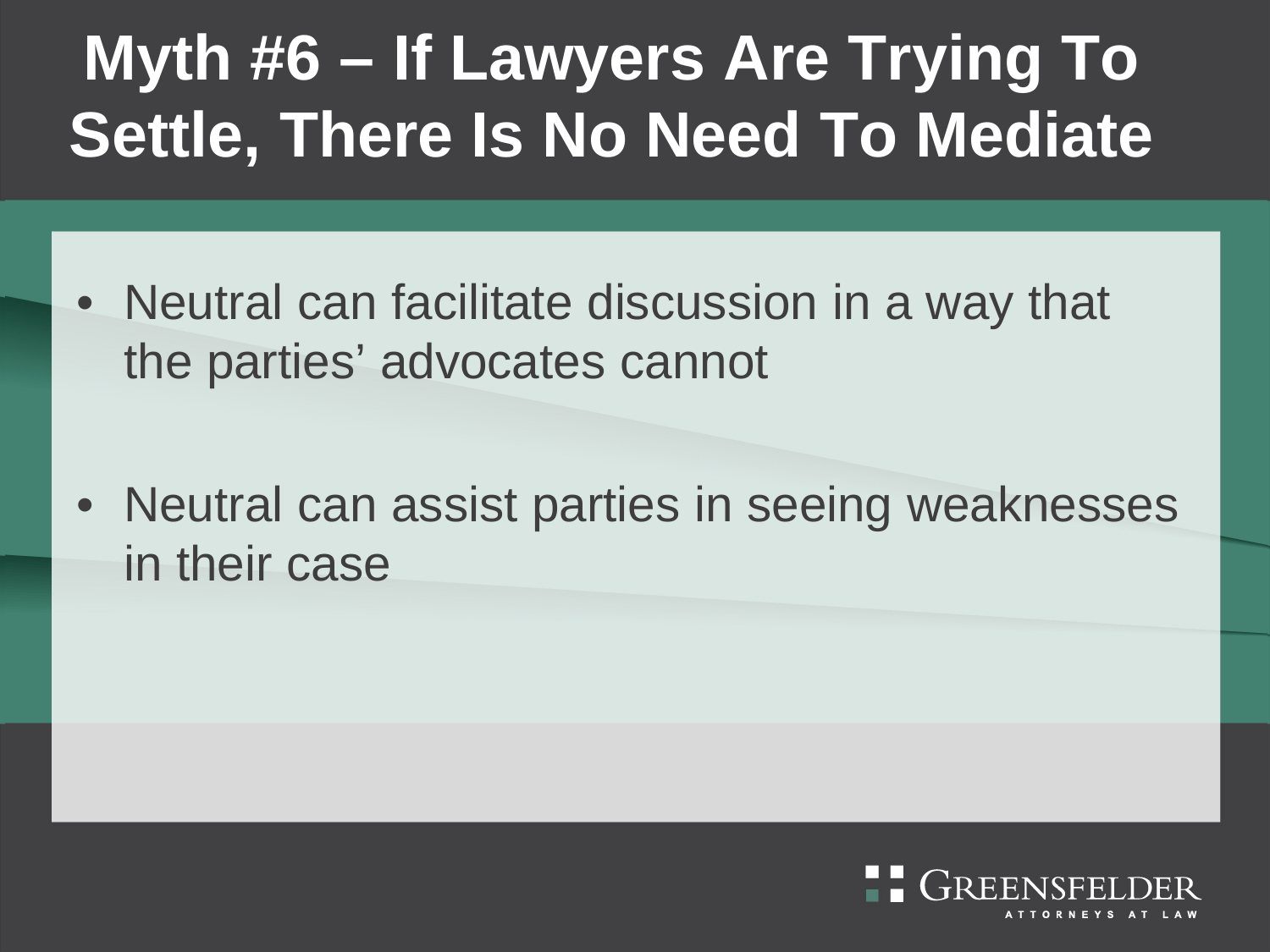#### **Myth #6 – If Lawyers Are Trying To Settle, There Is No Need To Mediate**

- Neutral can facilitate discussion in a way that the parties' advocates cannot
- Neutral can assist parties in seeing weaknesses in their case

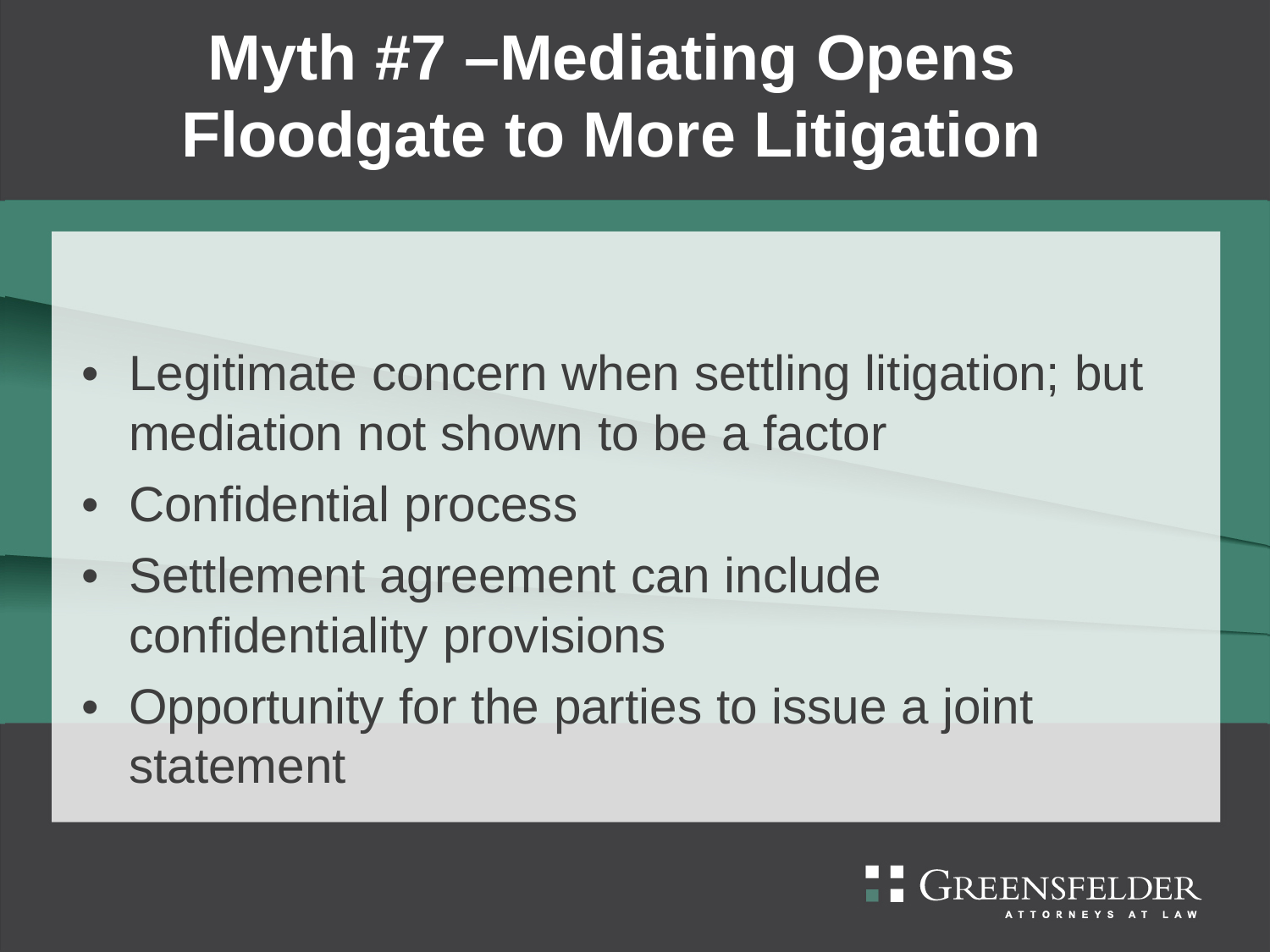### **Myth #7 –Mediating Opens Floodgate to More Litigation**

- Legitimate concern when settling litigation; but mediation not shown to be a factor
- Confidential process
- Settlement agreement can include confidentiality provisions
- Opportunity for the parties to issue a joint statement

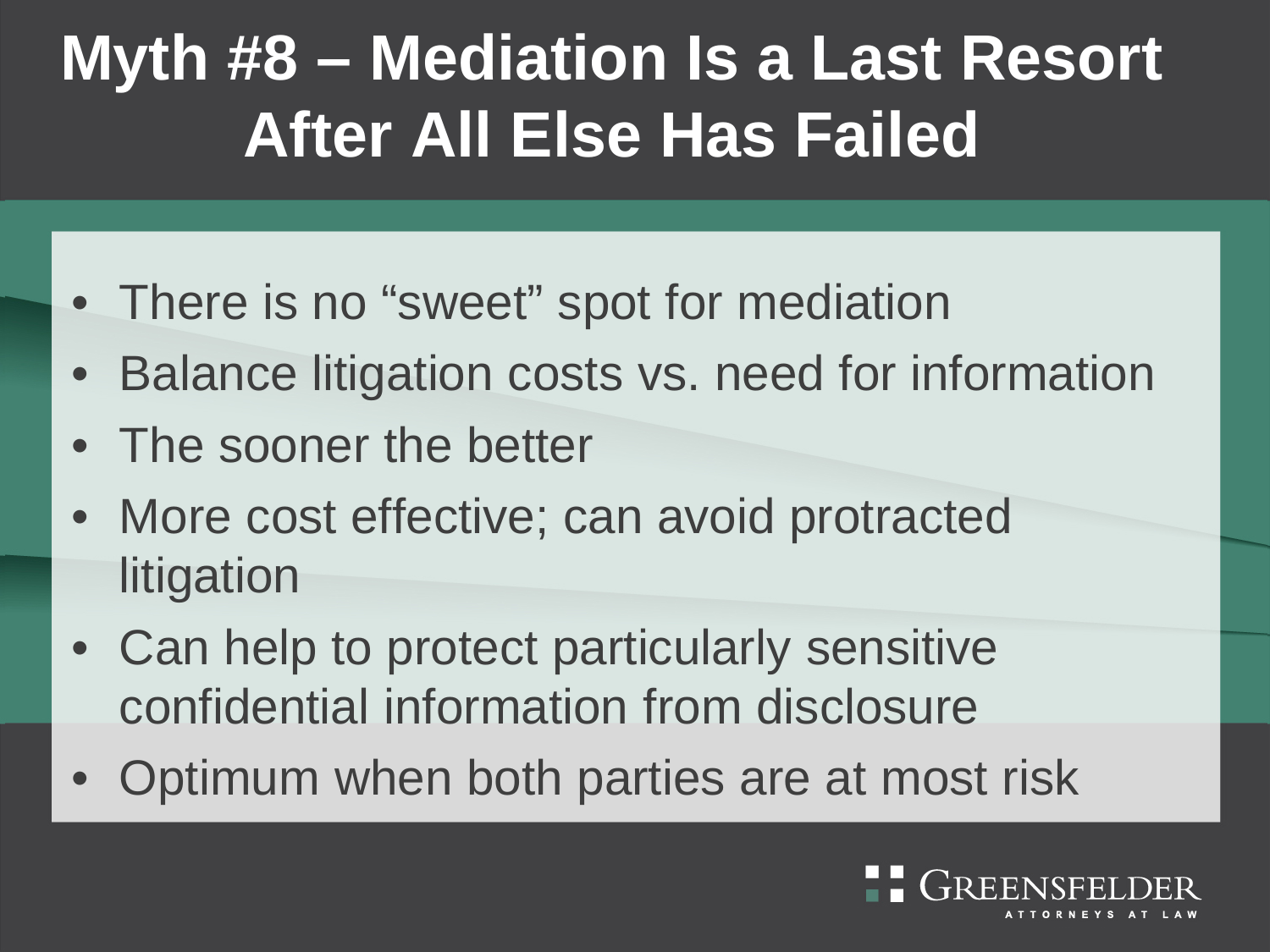#### **Myth #8 – Mediation Is a Last Resort After All Else Has Failed**

- There is no "sweet" spot for mediation
- Balance litigation costs vs. need for information
- The sooner the better
- More cost effective; can avoid protracted litigation
- Can help to protect particularly sensitive confidential information from disclosure
- Optimum when both parties are at most risk